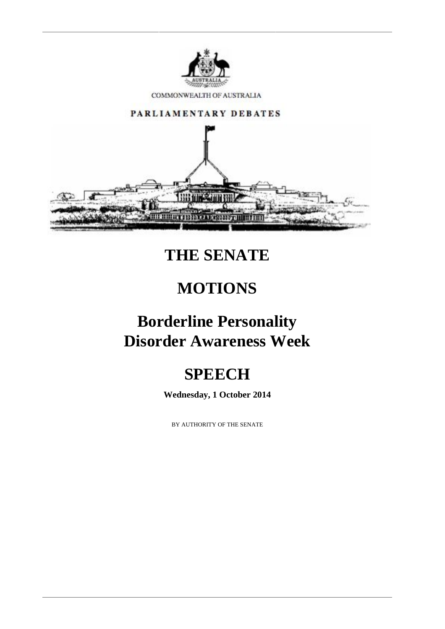

COMMONWEALTH OF AUSTRALIA



## **THE SENATE**

## **MOTIONS**

## **Borderline Personality Disorder Awareness Week**

# **SPEECH**

**Wednesday, 1 October 2014**

BY AUTHORITY OF THE SENATE